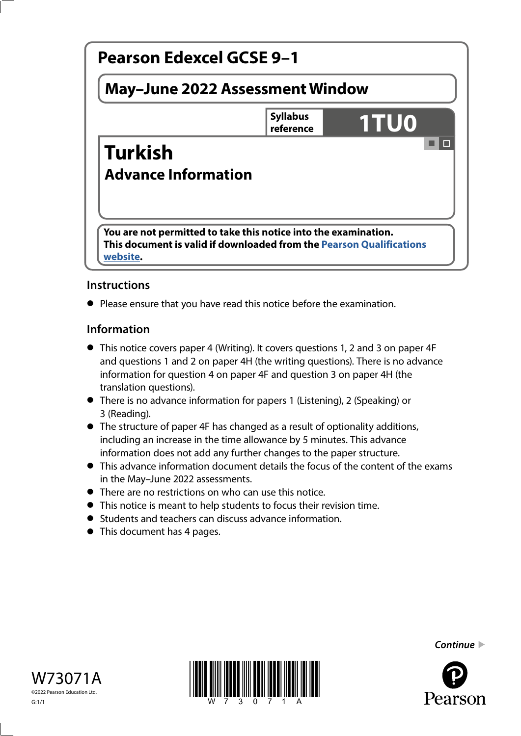

# **Instructions**

**•** Please ensure that you have read this notice before the examination.

### **Information**

- This notice covers paper 4 (Writing). It covers questions 1, 2 and 3 on paper 4F and questions 1 and 2 on paper 4H (the writing questions). There is no advance information for question 4 on paper 4F and question 3 on paper 4H (the translation questions).
- There is no advance information for papers 1 (Listening), 2 (Speaking) or 3 (Reading).
- The structure of paper 4F has changed as a result of optionality additions, including an increase in the time allowance by 5 minutes. This advance information does not add any further changes to the paper structure.
- This advance information document details the focus of the content of the exams in the May–June 2022 assessments.
- There are no restrictions on who can use this notice.
- This notice is meant to help students to focus their revision time.
- Students and teachers can discuss advance information.
- This document has 4 pages.







*Continue* 

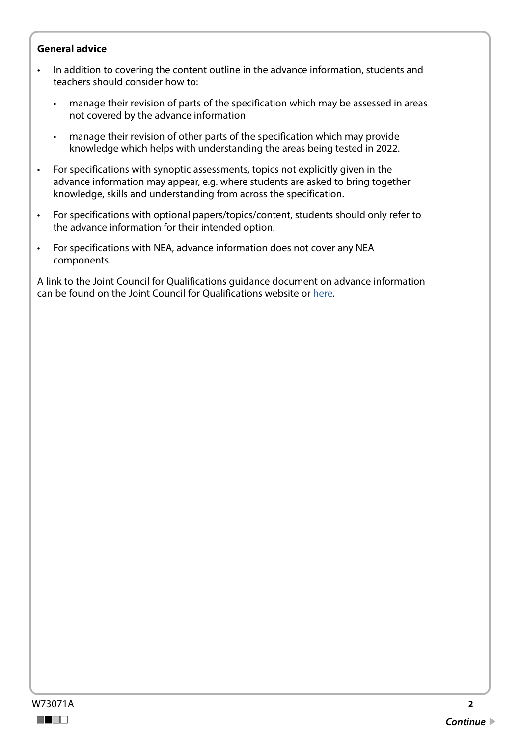#### **General advice**

- In addition to covering the content outline in the advance information, students and teachers should consider how to:
	- manage their revision of parts of the specification which may be assessed in areas not covered by the advance information
	- manage their revision of other parts of the specification which may provide knowledge which helps with understanding the areas being tested in 2022.
- For specifications with synoptic assessments, topics not explicitly given in the advance information may appear, e.g. where students are asked to bring together knowledge, skills and understanding from across the specification.
- For specifications with optional papers/topics/content, students should only refer to the advance information for their intended option.
- For specifications with NEA, advance information does not cover any NEA components.

A link to the Joint Council for Qualifications guidance document on advance information can be found on the Joint Council for Qualifications website or [here](https://www.jcq.org.uk/wp-content/uploads/2021/10/Advance-Information-for-General-Qualifications-2021-22.pdf).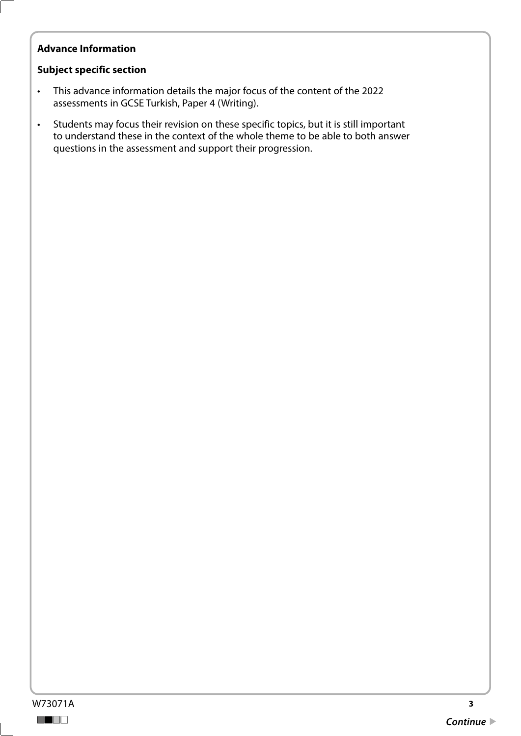## **Advance Information**

#### **Subject specific section**

- This advance information details the major focus of the content of the 2022 assessments in GCSE Turkish, Paper 4 (Writing).
- Students may focus their revision on these specific topics, but it is still important to understand these in the context of the whole theme to be able to both answer questions in the assessment and support their progression.